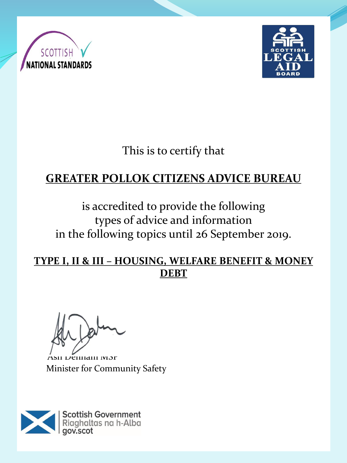



This is to certify that

# **GREATER POLLOK CITIZENS ADVICE BUREAU**

is accredited to provide the following types of advice and information in the following topics until 26 September 2019.

**TYPE I, II & III – HOUSING, WELFARE BENEFIT & MONEY DEBT**

Ash Denham MSP Minister for Community Safety

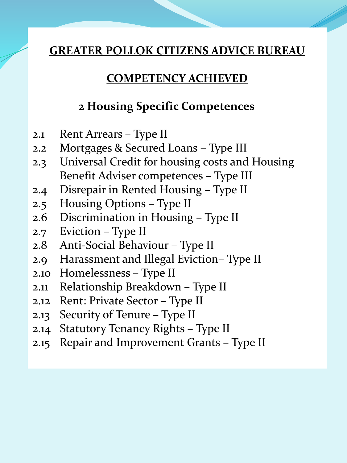### **COMPETENCY ACHIEVED**

### **2 Housing Specific Competences**

- 2.1 Rent Arrears Type II
- 2.2 Mortgages & Secured Loans Type III
- 2.3 Universal Credit for housing costs and Housing Benefit Adviser competences – Type III
- 2.4 Disrepair in Rented Housing Type II
- 2.5 Housing Options Type II
- 2.6 Discrimination in Housing Type II
- 2.7 Eviction Type II
- 2.8 Anti-Social Behaviour Type II
- 2.9 Harassment and Illegal Eviction– Type II
- 2.10 Homelessness Type II
- 2.11 Relationship Breakdown Type II
- 2.12 Rent: Private Sector Type II
- 2.13 Security of Tenure Type II
- 2.14 Statutory Tenancy Rights Type II
- 2.15 Repair and Improvement Grants Type II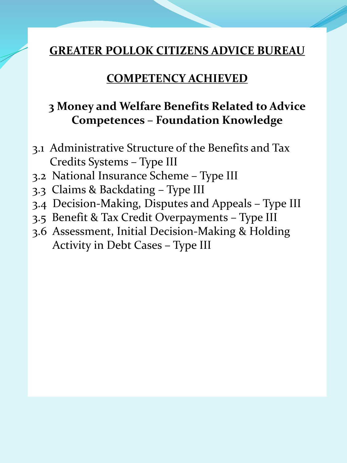### **COMPETENCY ACHIEVED**

# **3 Money and Welfare Benefits Related to Advice Competences – Foundation Knowledge**

- 3.1 Administrative Structure of the Benefits and Tax Credits Systems – Type III
- 3.2 National Insurance Scheme Type III
- 3.3 Claims & Backdating Type III
- 3.4 Decision-Making, Disputes and Appeals Type III
- 3.5 Benefit & Tax Credit Overpayments Type III
- 3.6 Assessment, Initial Decision-Making & Holding Activity in Debt Cases – Type III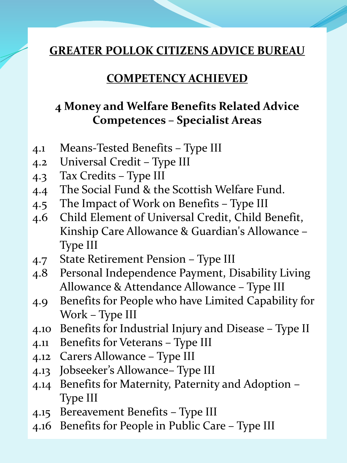#### **COMPETENCY ACHIEVED**

### **4 Money and Welfare Benefits Related Advice Competences – Specialist Areas**

- 4.1 Means-Tested Benefits Type III
- 4.2 Universal Credit Type III
- 4.3 Tax Credits Type III
- 4.4 The Social Fund & the Scottish Welfare Fund.
- 4.5 The Impact of Work on Benefits Type III
- 4.6 Child Element of Universal Credit, Child Benefit, Kinship Care Allowance & Guardian's Allowance – Type III
- 4.7 State Retirement Pension Type III
- 4.8 Personal Independence Payment, Disability Living Allowance & Attendance Allowance – Type III
- 4.9 Benefits for People who have Limited Capability for Work – Type III
- 4.10 Benefits for Industrial Injury and Disease Type II
- 4.11 Benefits for Veterans Type III
- 4.12 Carers Allowance Type III
- 4.13 Jobseeker's Allowance– Type III
- 4.14 Benefits for Maternity, Paternity and Adoption Type III
- 4.15 Bereavement Benefits Type III
- 4.16 Benefits for People in Public Care Type III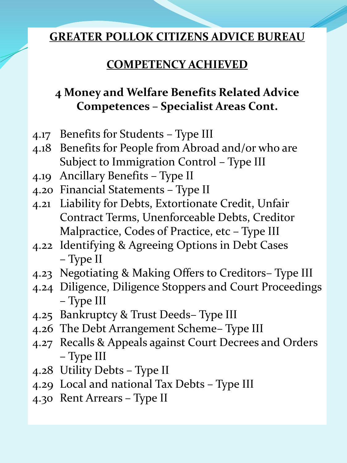## **COMPETENCY ACHIEVED**

# **4 Money and Welfare Benefits Related Advice Competences – Specialist Areas Cont.**

- 4.17 Benefits for Students Type III
- 4.18 Benefits for People from Abroad and/or who are Subject to Immigration Control – Type III
- 4.19 Ancillary Benefits Type II
- 4.20 Financial Statements Type II
- 4.21 Liability for Debts, Extortionate Credit, Unfair Contract Terms, Unenforceable Debts, Creditor Malpractice, Codes of Practice, etc – Type III
- 4.22 Identifying & Agreeing Options in Debt Cases – Type II
- 4.23 Negotiating & Making Offers to Creditors– Type III
- 4.24 Diligence, Diligence Stoppers and Court Proceedings – Type III
- 4.25 Bankruptcy & Trust Deeds– Type III
- 4.26 The Debt Arrangement Scheme– Type III
- 4.27 Recalls & Appeals against Court Decrees and Orders – Type III
- 4.28 Utility Debts Type II
- 4.29 Local and national Tax Debts Type III
- 4.30 Rent Arrears Type II